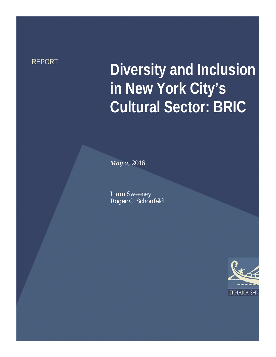# REPORT **Diversity and Inclusion in New York City's Cultural Sector: BRIC**

*May 2, 2016* 

*Liam Sweeney Roger C. Schonfeld*

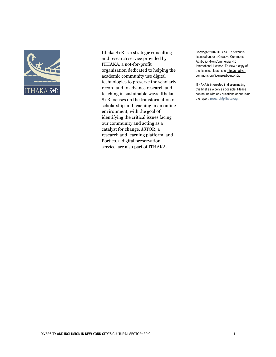

Ithaka S+R is a strategic consulting and research service provided by ITHAKA, a not-for-profit organization dedicated to helping the academic community use digital technologies to preserve the scholarly record and to advance research and teaching in sustainable ways. Ithaka S+R focuses on the transformation of scholarship and teaching in an online environment, with the goal of identifying the critical issues facing our community and acting as a catalyst for change. JSTOR, a research and learning platform, and Portico, a digital preservation service, are also part of ITHAKA.

Copyright 2016 ITHAKA. This work is licensed under a Creative Commons Attribution-NonCommercial 4.0 International License. To view a copy of the license, please se[e http://creative](http://creative-commons.org/licenses/by-nc/4.0/)[commons.org/licenses/by-nc/4.0/.](http://creative-commons.org/licenses/by-nc/4.0/) 

ITHAKA is interested in disseminating this brief as widely as possible. Please contact us with any questions about using the report: research@ithaka.org.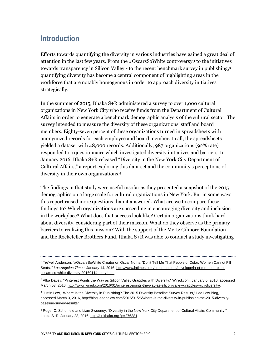# **Introduction**

Efforts towards quantifying the diversity in various industries have gained a great deal of attention in the last few years. From the #OscarsSoWhite controversy,<sup>1</sup> to the initiatives towards transparency in Silicon Valley,<sup>2</sup> to the recent benchmark survey in publishing,<sup>3</sup> quantifying diversity has become a central component of highlighting areas in the workforce that are notably homogenous in order to approach diversity initiatives strategically.

In the summer of 2015, Ithaka S+R administered a survey to over 1,000 cultural organizations in New York City who receive funds from the Department of Cultural Affairs in order to generate a benchmark demographic analysis of the cultural sector. The survey intended to measure the diversity of these organizations' staff and board members. Eighty-seven percent of these organizations turned in spreadsheets with anonymized records for each employee and board member. In all, the spreadsheets yielded a dataset with 48,000 records. Additionally, 987 organizations (92% rate) responded to a questionnaire which investigated diversity initiatives and barriers. In January 2016, Ithaka S+R released "Diversity in the New York City Department of Cultural Affairs," a report exploring this data-set and the community's perceptions of diversity in their own organizations.<sup>4</sup>

The findings in that study were useful insofar as they presented a snapshot of the 2015 demographics on a large scale for cultural organizations in New York. But in some ways this report raised more questions than it answered. What are we to compare these findings to? Which organizations are succeeding in encouraging diversity and inclusion in the workplace? What does that success look like? Certain organizations think hard about diversity, considering part of their mission. What do they observe as the primary barriers to realizing this mission? With the support of the Mertz Gilmore Foundation and the Rockefeller Brothers Fund, Ithaka S+R was able to conduct a study investigating

<sup>1</sup> Tre'vell Anderson, "#OscarsSoWhite Creator on Oscar Noms: 'Don't Tell Me That People of Color, Women Cannot Fill Seats,'" *Los Angeles Times*, January 14, 2016, [http://www.latimes.com/entertainment/envelope/la-et-mn-april-reign](http://www.latimes.com/entertainment/envelope/la-et-mn-april-reign-oscars-so-white-diversity-20160114-story.html)[oscars-so-white-diversity-20160114-story.html.](http://www.latimes.com/entertainment/envelope/la-et-mn-april-reign-oscars-so-white-diversity-20160114-story.html) 

<sup>2</sup> Alba Davey, "Pinterest Points the Way as Silicon Valley Grapples with Diversity," Wired.com, January 6, 2016, accessed March 03, 2016, [http://www.wired.com/2016/01/pinterest-points-the-way-as-silicon-valley-grapples-with-diversity/.](http://www.wired.com/2016/01/pinterest-points-the-way-as-silicon-valley-grapples-with-diversity/) 

<sup>&</sup>lt;sup>3</sup> Justin Low, "Where Is the Diversity in Publishing? The 2015 Diversity Baseline Survey Results," Lee Low Blog, accessed March 3, 2016[, http://blog.leeandlow.com/2016/01/26/where-is-the-diversity-in-publishing-the-2015-diversity](http://blog.leeandlow.com/2016/01/26/where-is-the-diversity-in-publishing-the-2015-diversity-baseline-survey-results/)[baseline-survey-results/.](http://blog.leeandlow.com/2016/01/26/where-is-the-diversity-in-publishing-the-2015-diversity-baseline-survey-results/) 

<sup>4</sup> Roger C. Schonfeld and Liam Sweeney, "Diversity in the New York City Department of Cultural Affairs Community," Ithaka S+R. January 28, 2016[, http://sr.ithaka.org?p=276381.](http://sr.ithaka.org/?p=276381)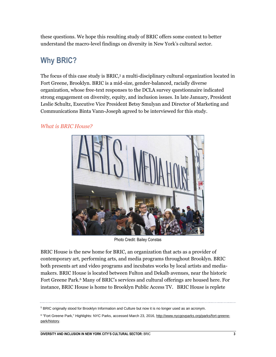these questions. We hope this resulting study of BRIC offers some context to better understand the macro-level findings on diversity in New York's cultural sector.

# **Why BRIC?**

The focus of this case study is BRIC,<sup>5</sup> a multi-disciplinary cultural organization located in Fort Greene, Brooklyn. BRIC is a mid-size, gender-balanced, racially diverse organization, whose free-text responses to the DCLA survey questionnaire indicated strong engagement on diversity, equity, and inclusion issues. In late January, President Leslie Schultz, Executive Vice President Betsy Smulyan and Director of Marketing and Communications Binta Vann-Joseph agreed to be interviewed for this study.

#### *What is BRIC House?*



Photo Credit: Bailey Constas

BRIC House is the new home for BRIC, an organization that acts as a provider of contemporary art, performing arts, and media programs throughout Brooklyn. BRIC both presents art and video programs and incubates works by local artists and mediamakers. BRIC House is located between Fulton and Dekalb avenues, near the historic Fort Greene Park.<sup>6</sup> Many of BRIC's services and cultural offerings are housed here. For instance, BRIC House is home to Brooklyn Public Access TV. BRIC House is replete

<sup>&</sup>lt;sup>5</sup> BRIC originally stood for Brooklyn Information and Culture but now it is no longer used as an acronym.

<sup>&</sup>lt;sup>6</sup> "Fort Greene Park," Highlights: NYC Parks, accessed March 23, 2016, <u>http://www.nycgovparks.org/parks/fort-greene-</u> [park/history.](http://www.nycgovparks.org/parks/fort-greene-park/history)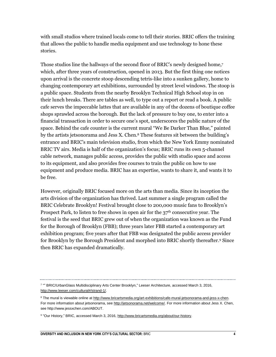with small studios where trained locals come to tell their stories. BRIC offers the training that allows the public to handle media equipment and use technology to hone these stories.

Those studios line the hallways of the second floor of BRIC's newly designed home,<sup>7</sup> which, after three years of construction, opened in 2013. But the first thing one notices upon arrival is the concrete stoop descending tetris-like into a sunken gallery, home to changing contemporary art exhibitions, surrounded by street level windows. The stoop is a public space. Students from the nearby Brooklyn Technical High School stop in on their lunch breaks. There are tables as well, to type out a report or read a book. A public cafe serves the impeccable lattes that are available in any of the dozens of boutique coffee shops sprawled across the borough. But the lack of pressure to buy one, to enter into a financial transaction in order to secure one's spot, underscores the public nature of the space. Behind the cafe counter is the current mural "We Be Darker Than Blue," painted by the artists jetsonorama and Jess X. Chen.<sup>8</sup> These features sit between the building's entrance and BRIC's main television studio, from which the New York Emmy nominated BRIC TV airs. Media is half of the organization's focus; BRIC runs its own 5-channel cable network, manages public access, provides the public with studio space and access to its equipment, and also provides free courses to train the public on how to use equipment and produce media. BRIC has an expertise, wants to share it, and wants it to be free.

However, originally BRIC focused more on the arts than media. Since its inception the arts division of the organization has thrived. Last summer a single program called the BRIC Celebrate Brooklyn! Festival brought close to 200,000 music fans to Brooklyn's Prospect Park, to listen to free shows in open air for the 37<sup>th</sup> consecutive year. The festival is the seed that BRIC grew out of when the organization was known as the Fund for the Borough of Brooklyn (FBB); three years later FBB started a contemporary art exhibition program; five years after that FBB was designated the public access provider for Brooklyn by the Borough President and morphed into BRIC shortly thereafter.<sup>9</sup> Since then BRIC has expanded dramatically.

<sup>7</sup> "" BRIC/UrbanGlass Multidisciplinary Arts Center Brooklyn," Leeser Architecture, accessed March 3, 2016, [http://www.leeser.com/cultural#/strand-1/.](http://www.leeser.com/cultural%23/strand-1/)

<sup>&</sup>lt;sup>8</sup> The mural is viewable online at [http://www.bricartsmedia.org/art-exhibitions/cafe-mural-jetsonorama-and-jess-x-chen.](http://www.bricartsmedia.org/art-exhibitions/cafe-mural-jetsonorama-and-jess-x-chen) For more information about jetsonorama, se[e http://jetsonorama.net/welcome/.](http://jetsonorama.net/welcome/) For more information about Jess X. Chen, see http://www.jessxchen.com/ABOUT.

<sup>&</sup>lt;sup>9</sup> "Our History," BRIC, accessed March 3, 2016[, http://www.bricartsmedia.org/about/our-history.](http://www.bricartsmedia.org/about/our-history)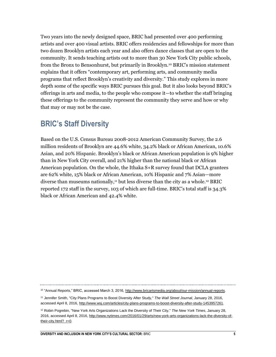Two years into the newly designed space, BRIC had presented over 400 performing artists and over 400 visual artists. BRIC offers residencies and fellowships for more than two dozen Brooklyn artists each year and also offers dance classes that are open to the community. It sends teaching artists out to more than 30 New York City public schools, from the Bronx to Bensonhurst, but primarily in Brooklyn.<sup>10</sup> BRIC's mission statement explains that it offers "contemporary art, performing arts, and community media programs that reflect Brooklyn's creativity and diversity." This study explores in more depth some of the specific ways BRIC pursues this goal. But it also looks beyond BRIC's offerings in arts and media, to the people who compose it—to whether the staff bringing these offerings to the community represent the community they serve and how or why that may or may not be the case.

# **BRIC's Staff Diversity**

Based on the U.S. Census Bureau 2008-2012 American Community Survey, the 2.6 million residents of Brooklyn are 44.6% white, 34.2% black or African American, 10.6% Asian, and 20% Hispanic. Brooklyn's black or African American population is 9% higher than in New York City overall, and 21% higher than the national black or African American population. On the whole, the Ithaka S+R survey found that DCLA grantees are 62% white, 15% black or African American, 10% Hispanic and 7% Asian—more diverse than museums nationally,<sup>11</sup> but less diverse than the city as a whole.<sup>12</sup> BRIC reported 172 staff in the survey, 103 of which are full-time. BRIC's total staff is 34.3% black or African American and 42.4% white.

<sup>&</sup>lt;sup>10</sup> "Annual Reports," BRIC, accessed March 3, 2016, [http://www.bricartsmedia.org/about/our-mission/annual-reports.](http://www.bricartsmedia.org/about/our-mission/annual-reports)

<sup>11</sup> Jennifer Smith, "City Plans Programs to Boost Diversity After Study," *The Wall Street Journal*, January 28, 2016, accessed April 8, 2016[, http://www.wsj.com/articles/city-plans-programs-to-boost-diversity-after-study-1453957261.](http://www.wsj.com/articles/city-plans-programs-to-boost-diversity-after-study-1453957261)

<sup>12</sup> Robin Pogrebin, "New York Arts Organizations Lack the Diversity of Their City," *The New York Times*, January 28, 2016, accessed April 8, 2016[, http://www.nytimes.com/2016/01/29/arts/new-york-arts-organizations-lack-the-diversity-of](http://www.nytimes.com/2016/01/29/arts/new-york-arts-organizations-lack-the-diversity-of-their-city.html?_r=0)[their-city.html?\\_r=0.](http://www.nytimes.com/2016/01/29/arts/new-york-arts-organizations-lack-the-diversity-of-their-city.html?_r=0)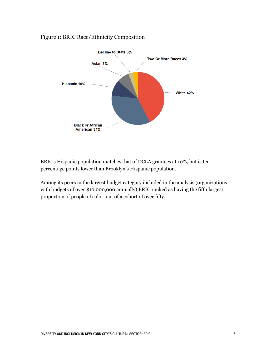#### Figure 1: BRIC Race/Ethnicity Composition



BRIC's Hispanic population matches that of DCLA grantees at 10%, but is ten percentage points lower than Brooklyn's Hispanic population.

Among its peers in the largest budget category included in the analysis (organizations with budgets of over \$10,000,000 annually) BRIC ranked as having the fifth largest proportion of people of color, out of a cohort of over fifty.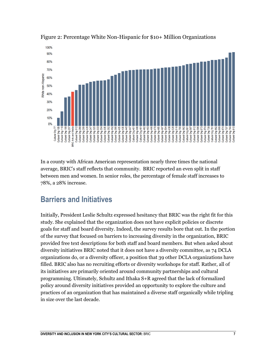

Figure 2: Percentage White Non-Hispanic for \$10+ Million Organizations

In a county with African American representation nearly three times the national average, BRIC's staff reflects that community. BRIC reported an even split in staff between men and women. In senior roles, the percentage of female staff increases to 78%, a 28% increase.

# **Barriers and Initiatives**

Initially, President Leslie Schultz expressed hesitancy that BRIC was the right fit for this study. She explained that the organization does not have explicit policies or discrete goals for staff and board diversity. Indeed, the survey results bore that out. In the portion of the survey that focused on barriers to increasing diversity in the organization, BRIC provided free text descriptions for both staff and board members. But when asked about diversity initiatives BRIC noted that it does not have a diversity committee, as 74 DCLA organizations do, or a diversity officer, a position that 39 other DCLA organizations have filled. BRIC also has no recruiting efforts or diversity workshops for staff. Rather, all of its initiatives are primarily oriented around community partnerships and cultural programming. Ultimately, Schultz and Ithaka S+R agreed that the lack of formalized policy around diversity initiatives provided an opportunity to explore the culture and practices of an organization that has maintained a diverse staff organically while tripling in size over the last decade.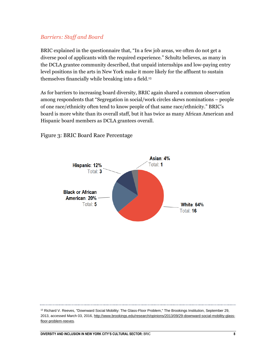#### *Barriers: Staff and Board*

BRIC explained in the questionnaire that, "In a few job areas, we often do not get a diverse pool of applicants with the required experience." Schultz believes, as many in the DCLA grantee community described, that unpaid internships and low-paying entry level positions in the arts in New York make it more likely for the affluent to sustain themselves financially while breaking into a field.<sup>13</sup>

As for barriers to increasing board diversity, BRIC again shared a common observation among respondents that "Segregation in social/work circles skews nominations – people of one race/ethnicity often tend to know people of that same race/ethnicity." BRIC's board is more white than its overall staff, but it has twice as many African American and Hispanic board members as DCLA grantees overall.



Figure 3: BRIC Board Race Percentage

<sup>&</sup>lt;sup>13</sup> Richard V. Reeves, "Downward Social Mobility: The Glass-Floor Problem," The Brookings Institution, September 29, 2013, accessed March 03, 2016[, http://www.brookings.edu/research/opinions/2013/09/29-downward-social-mobility-glass](http://www.brookings.edu/research/opinions/2013/09/29-downward-social-mobility-glass-floor-problem-reeves)[floor-problem-reeves.](http://www.brookings.edu/research/opinions/2013/09/29-downward-social-mobility-glass-floor-problem-reeves)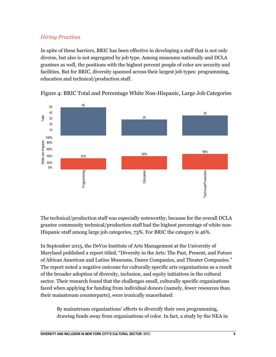### *Hiring Practices*

In spite of these barriers, BRIC has been effective in developing a staff that is not only diverse, but also is not segregated by job type. Among museums nationally and DCLA grantees as well, the positions with the highest percent people of color are security and facilities. But for BRIC, diversity spanned across their largest job types: programming, education and technical/production staff.





The technical/production staff was especially noteworthy, because for the overall DCLA grantee community technical/production staff had the highest percentage of white non-Hispanic staff among large job categories, 73%. For BRIC the category is 46%.

In September 2015, the DeVos Institute of Arts Management at the University of Maryland published a report titled, "Diversity in the Arts: The Past, Present, and Future of African American and Latino Museums, Dance Companies, and Theater Companies." The report noted a negative outcome for culturally specific arts organizations as a result of the broader adoption of diversity, inclusion, and equity initiatives in the cultural sector. Their research found that the challenges small, culturally specific organizations faced when applying for funding from individual donors (namely, fewer resources than their mainstream counterparts), were ironically exacerbated:

By mainstream organizations' efforts to diversify their own programming, drawing funds away from organizations of color. In fact, a study by the NEA in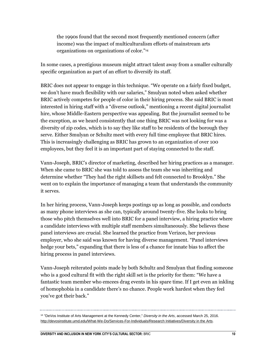the 1990s found that the second most frequently mentioned concern (after income) was the impact of multiculturalism efforts of mainstream arts organizations on organizations of color."<sup>14</sup>

In some cases, a prestigious museum might attract talent away from a smaller culturally specific organization as part of an effort to diversify its staff.

BRIC does not appear to engage in this technique. "We operate on a fairly fixed budget, we don't have much flexibility with our salaries," Smulyan noted when asked whether BRIC actively competes for people of color in their hiring process. She said BRIC is most interested in hiring staff with a "diverse outlook," mentioning a recent digital journalist hire, whose Middle-Eastern perspective was appealing. But the journalist seemed to be the exception, as we heard consistently that one thing BRIC was not looking for was a diversity of zip codes, which is to say they like staff to be residents of the borough they serve. Either Smulyan or Schultz meet with every full time employee that BRIC hires. This is increasingly challenging as BRIC has grown to an organization of over 100 employees, but they feel it is an important part of staying connected to the staff.

Vann-Joseph, BRIC's director of marketing, described her hiring practices as a manager. When she came to BRIC she was told to assess the team she was inheriting and determine whether "They had the right skillsets and felt connected to Brooklyn." She went on to explain the importance of managing a team that understands the community it serves.

In her hiring process, Vann-Joseph keeps postings up as long as possible, and conducts as many phone interviews as she can, typically around twenty-five. She looks to bring those who pitch themselves well into BRIC for a panel interview, a hiring practice where a candidate interviews with multiple staff members simultaneously. She believes these panel interviews are crucial. She learned the practice from Verizon, her previous employer, who she said was known for having diverse management. "Panel interviews hedge your bets," expanding that there is less of a chance for innate bias to affect the hiring process in panel interviews.

Vann-Joseph reiterated points made by both Schultz and Smulyan that finding someone who is a good cultural fit with the right skill set is the priority for them: "We have a fantastic team member who emcees drag events in his spare time. If I get even an inkling of homophobia in a candidate there's no chance. People work hardest when they feel you've got their back."

<sup>14</sup> "DeVos Institute of Arts Management at the Kennedy Center," *Diversity in the Arts*, accessed March 25, 2016. [http://devosinstitute.umd.edu/What-We-Do/Services-For-Individuals/Research Initiatives/Diversity in the Arts.](http://devosinstitute.umd.edu/What-We-Do/Services-For-Individuals/Research%20Initiatives/Diversity%20in%20the%20Arts)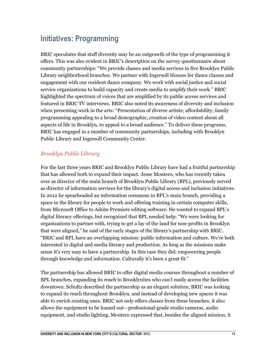# **Initiatives: Programming**

BRIC speculates that staff diversity may be an outgrowth of the type of programming it offers. This was also evident in BRIC's description on the survey questionnaire about community partnerships: "We provide classes and media services in five Brooklyn Public Library neighborhood branches. We partner with Ingersoll Houses for dance classes and engagement with our resident dance company. We work with social justice and social service organizations to build capacity and create media to amplify their work." BRIC highlighted the spectrum of voices that are amplified by its public access services and featured in BRIC TV interviews. BRIC also noted its awareness of diversity and inclusion when presenting work in the arts: "Presentation of diverse artists; affordability; family programming appealing to a broad demographic, creation of video content about all aspects of life in Brooklyn, to appeal to a broad audience." To deliver these programs, BRIC has engaged in a number of community partnerships, including with Brooklyn Public Library and Ingersoll Community Center.

#### *Brooklyn Public Library*

For the last three years BRIC and Brooklyn Public Library have had a fruitful partnership that has allowed both to expand their impact. Jesse Montero, who has recently taken over as director of the main branch of Brooklyn Public Library (BPL), previously served as director of information services for the library's digital access and inclusion initiatives. In 2012 he spearheaded an information commons in BPL's main branch, providing a space in the library for people to work and offering training in certain computer skills, from Microsoft Office to Adobe Premiere editing software. He wanted to expand BPL's digital literacy offerings, but recognized that BPL needed help: "We were looking for organizations to partner with, trying to get a lay of the land for non-profits in Brooklyn that were aligned," he said of the early stages of the library's partnership with BRIC. "BRIC and BPL have an overlapping mission: public information and culture. We're both interested in digital and media literacy and production. As long as the missions make sense it's very easy to have a partnership. In this case they did: empowering people through knowledge and information. Culturally it's been a great fit."

The partnership has allowed BRIC to offer digital media courses throughout a number of BPL branches, expanding its reach to Brooklynites who can't easily access the facilities downtown. Schultz described the partnership as an elegant solution; BRIC was looking to expand its reach throughout Brooklyn, and instead of developing new spaces it was able to enrich existing ones. BRIC not only offers classes from these branches, it also allows the equipment to be loaned out—professional-grade studio cameras, audio equipment, and studio lighting. Montero expressed that, besides the aligned mission, it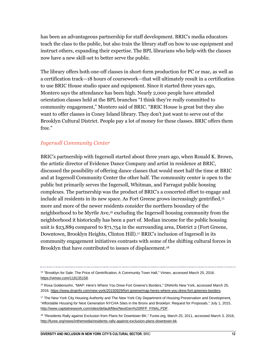has been an advantageous partnership for staff development. BRIC's media educators teach the class to the public, but also train the library staff on how to use equipment and instruct others, expanding their expertise. The BPL librarians who help with the classes now have a new skill-set to better serve the public.

The library offers both one-off classes in short-form production for PC or mac, as well as a certification track—18 hours of coursework—that will ultimately result in a certification to use BRIC House studio space and equipment. Since it started three years ago, Montero says the attendance has been high. Nearly 2,000 people have attended orientation classes held at the BPL branches "I think they're really committed to community engagement," Montero said of BRIC. "BRIC House is great but they also want to offer classes in Coney Island library. They don't just want to serve out of the Brooklyn Cultural District. People pay a lot of money for these classes. BRIC offers them free."

#### *Ingersoll Community Center*

BRIC's partnership with Ingersoll started about three years ago, when Ronald K. Brown, the artistic director of Evidence Dance Company and artist in residence at BRIC, discussed the possibility of offering dance classes that would meet half the time at BRIC and at Ingersoll Community Center the other half. The community center is open to the public but primarily serves the Ingersoll, Whitman, and Farragut public housing complexes. The partnership was the product of BRIC's a concerted effort to engage and include all residents in its new space. As Fort Greene grows increasingly gentrified, 15 more and more of the newer residents consider the northern boundary of the neighborhood to be Myrtle Ave, <sup>16</sup> excluding the Ingersoll housing community from the neighborhood it historically has been a part of. Median income for the public housing unit is \$23,889 compared to \$71,754 in the surrounding area, District 2 (Fort Greene, Downtown, Brooklyn Heights, Clinton Hill). <sup>17</sup> BRIC's inclusion of Ingersoll in its community engagement initiatives contrasts with some of the shifting cultural forces in Brooklyn that have contributed to issues of displacement.<sup>18</sup>

<sup>15</sup> "Brooklyn for Sale: The Price of Gentrification, A Community Town Hall," Vimeo, accessed March 25, 2016. [https://vimeo.com/118135158.](https://vimeo.com/118135158)

<sup>&</sup>lt;sup>16</sup> Rosa Goldensohn, "MAP: Here's Where You Drew Fort Greene's Borders," DNAinfo New York, accessed March 25, 2016[, https://www.dnainfo.com/new-york/20150929/fort-greene/map-heres-where-you-drew-fort-greenes-borders.](https://www.dnainfo.com/new-york/20150929/fort-greene/map-heres-where-you-drew-fort-greenes-borders)

<sup>&</sup>lt;sup>17</sup> The New York City Housing Authority and The New York City Department of Housing Preservation and Development, "Affordable Housing for Next Generation NYCHA Sites in the Bronx and Brooklyn: Request for Proposals," July 1, 2015, [http://www.capitalnewyork.com/sites/default/files/NextGen%20RFP\\_FINAL.PDF.](http://www.capitalnewyork.com/sites/default/files/NextGen%20RFP_FINAL.PDF)

<sup>&</sup>lt;sup>18</sup> "Residents Rally against Exclusion from Plans for Downtown BK," Furee.org, March 25, 2011, accessed March 3, 2016, [http://furee.org/news/inthemedia/residents-rally-against-exclusion-plans-downtown-bk.](http://furee.org/news/inthemedia/residents-rally-against-exclusion-plans-downtown-bk)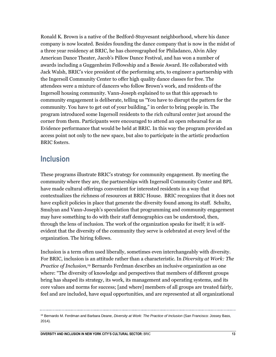Ronald K. Brown is a native of the Bedford-Stuyvesant neighborhood, where his dance company is now located. Besides founding the dance company that is now in the midst of a three year residency at BRIC, he has choreographed for Philadanco, Alvin Ailey American Dance Theater, Jacob's Pillow Dance Festival, and has won a number of awards including a Guggenheim Fellowship and a Bessie Award. He collaborated with Jack Walsh, BRIC's vice president of the performing arts, to engineer a partnership with the Ingersoll Community Center to offer high quality dance classes for free. The attendees were a mixture of dancers who follow Brown's work, and residents of the Ingersoll housing community. Vann-Joseph explained to us that this approach to community engagement is deliberate, telling us "You have to disrupt the pattern for the community. You have to get out of your building," in order to bring people in. The program introduced some Ingersoll residents to the rich cultural center just around the corner from them. Participants were encouraged to attend an open rehearsal for an Evidence performance that would be held at BRIC. In this way the program provided an access point not only to the new space, but also to participate in the artistic production BRIC fosters.

## **Inclusion**

These programs illustrate BRIC's strategy for community engagement. By meeting the community where they are, the partnerships with Ingersoll Community Center and BPL have made cultural offerings convenient for interested residents in a way that contextualizes the richness of resources at BRIC House. BRIC recognizes that it does not have explicit policies in place that generate the diversity found among its staff. Schultz, Smulyan and Vann-Joseph's speculation that programming and community engagement may have something to do with their staff demographics can be understood, then, through the lens of inclusion. The work of the organization speaks for itself; it is selfevident that the diversity of the community they serve is celebrated at every level of the organization. The hiring follows.

Inclusion is a term often used liberally, sometimes even interchangeably with diversity. For BRIC, inclusion is an attitude rather than a characteristic. In *Diversity at Work: The Practice of Inclusion,*<sup>19</sup> Bernardo Ferdman describes an inclusive organization as one where: "The diversity of knowledge and perspectives that members of different groups bring has shaped its strategy, its work, its management and operating systems, and its core values and norms for success; [and where] members of all groups are treated fairly, feel and are included, have equal opportunities, and are represented at all organizational

<sup>19</sup> Bernardo M. Ferdman and Barbara Deane, *Diversity at Work: The Practice of Inclusion* (San Francisco: Jossey Bass, 2014).